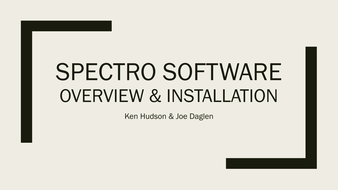# SPECTRO SOFTWARE OVERVIEW & INSTALLATION

Ken Hudson & Joe Daglen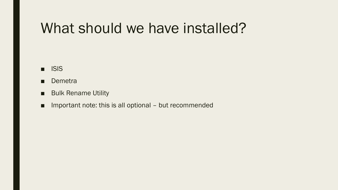### What should we have installed?

- ISIS
- Demetra
- Bulk Rename Utility
- Important note: this is all optional but recommended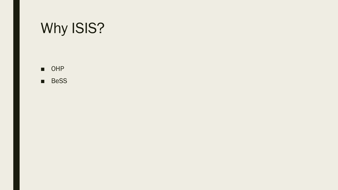# Why ISIS?

■ OHP

■ BeSS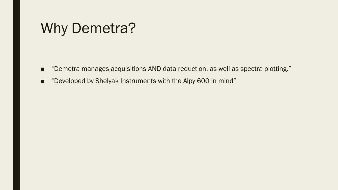# Why Demetra?

- "Demetra manages acquisitions AND data reduction, as well as spectra plotting."
- "Developed by Shelyak Instruments with the Alpy 600 in mind"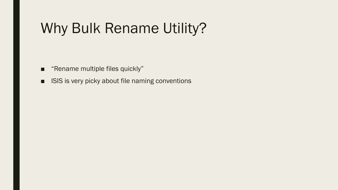# Why Bulk Rename Utility?

- "Rename multiple files quickly"
- ISIS is very picky about file naming conventions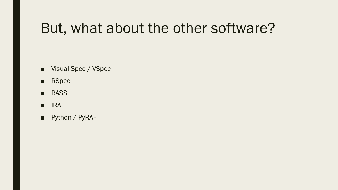# But, what about the other software?

- Visual Spec / VSpec
- RSpec
- BASS
- **IRAF**
- Python / PyRAF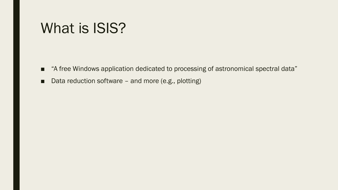#### What is ISIS?

- "A free Windows application dedicated to processing of astronomical spectral data"
- Data reduction software and more (e.g., plotting)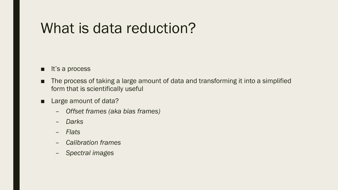### What is data reduction?

- It's a process
- The process of taking a large amount of data and transforming it into a simplified form that is scientifically useful
- Large amount of data?
	- *Offset frames (aka bias frames)*
	- *Darks*
	- *Flats*
	- *Calibration frames*
	- *Spectral images*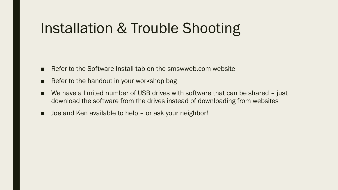# Installation & Trouble Shooting

- Refer to the Software Install tab on the smswweb.com website
- Refer to the handout in your workshop bag
- We have a limited number of USB drives with software that can be shared just download the software from the drives instead of downloading from websites
- Joe and Ken available to help or ask your neighbor!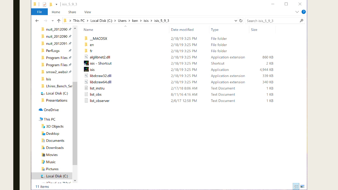$\Box$  $\times$  $\mathbf{L}$  $\checkmark$  $\overline{\bullet}$  | isis 5 9 3  $\vee$  ? File Share **View** Home **I** > This PC > Local Disk (C:) > Users > ken > isis > isis 5 9 3  $\mathcal{L}$ 个  $\vee$   $\bullet$  Search isis\_5\_9\_3  $\leftarrow$  $\rightarrow$  $\checkmark$  $\widehat{\phantom{1}}$ **I** nuit\_2012090 ★ ^ Name Date modified Size Type **N** nuit\_2012090 <del>x</del>  $MACOSX$ 2/18/19 3:25 PM File folder nuit\_2012091 \*\*  $\Gamma$  en File folder 2/18/19 3:25 PM **PerfLogs** 一大  $\blacksquare$  fr File folder 2/18/19 3:25 PM alglibnet2.dll 2/18/19 3:25 PM Application extension 860 KB **Program Files** isis - Shortcut 2/18/19 3:25 PM Shortcut 2 KB **Program Files**  $\frac{1}{1515}$  isis 2/18/19 3:25 PM Application 4,944 KB  $\blacksquare$  smsw2 websit $\star$ **Solution** libdcraw32.dll 339 KB 2/18/19 3:25 PM Application extension  $\blacksquare$  Isis ibdcraw64.dll 2/18/19 3:25 PM Application extension 340 KB Lhires Bench Set list\_instru 2/17/18 8:06 AM **Text Document** 1 KB **E** Local Disk (C:)  $\blacksquare$  list\_obs 8/11/16 4:16 AM 1 KB **Text Document** 1 KB



11 items